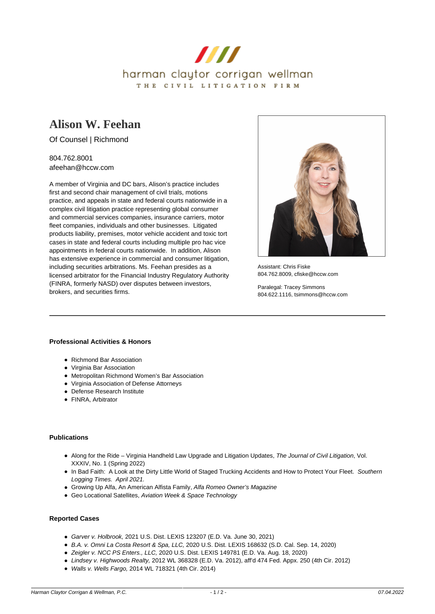

# **[Alison W. Feehan](https://www.hccw.com/attorney/alison-w-feehan/)**

Of Counsel | Richmond

804.762.8001 afeehan@hccw.com

A member of Virginia and DC bars, Alison's practice includes first and second chair management of civil trials, motions practice, and appeals in state and federal courts nationwide in a complex civil litigation practice representing global consumer and commercial services companies, insurance carriers, motor fleet companies, individuals and other businesses. Litigated products liability, premises, motor vehicle accident and toxic tort cases in state and federal courts including multiple pro hac vice appointments in federal courts nationwide. In addition, Alison has extensive experience in commercial and consumer litigation, including securities arbitrations. Ms. Feehan presides as a licensed arbitrator for the Financial Industry Regulatory Authority (FINRA, formerly NASD) over disputes between investors, brokers, and securities firms.



Assistant: Chris Fiske 804.762.8009, cfiske@hccw.com

Paralegal: Tracey Simmons 804.622.1116, tsimmons@hccw.com

#### **Professional Activities & Honors**

- Richmond Bar Association
- Virginia Bar Association
- Metropolitan Richmond Women's Bar Association
- Virginia Association of Defense Attorneys
- Defense Research Institute
- FINRA, Arbitrator

## **Publications**

- Along for the Ride Virginia Handheld Law Upgrade and Litigation Updates, The Journal of Civil Litigation, Vol. XXXIV, No. 1 (Spring 2022)
- In Bad Faith: A Look at the Dirty Little World of Staged Trucking Accidents and How to Protect Your Fleet. Southern Logging Times. April 2021.
- Growing Up Alfa, An American Alfista Family, Alfa Romeo Owner's Magazine
- Geo Locational Satellites, Aviation Week & Space Technology

#### **Reported Cases**

- Garver v. Holbrook, 2021 U.S. Dist. LEXIS 123207 (E.D. Va. June 30, 2021)
- B.A. v. Omni La Costa Resort & Spa, LLC, 2020 U.S. Dist. LEXIS 168632 (S.D. Cal. Sep. 14, 2020)
- Zeigler v. NCC PS Enters., LLC, 2020 U.S. Dist. LEXIS 149781 (E.D. Va. Aug. 18, 2020)
- Lindsey v. Highwoods Realty, 2012 WL 368328 (E.D. Va. 2012), aff'd 474 Fed. Appx. 250 (4th Cir. 2012)
- Walls v. Wells Fargo, 2014 WL 718321 (4th Cir. 2014)